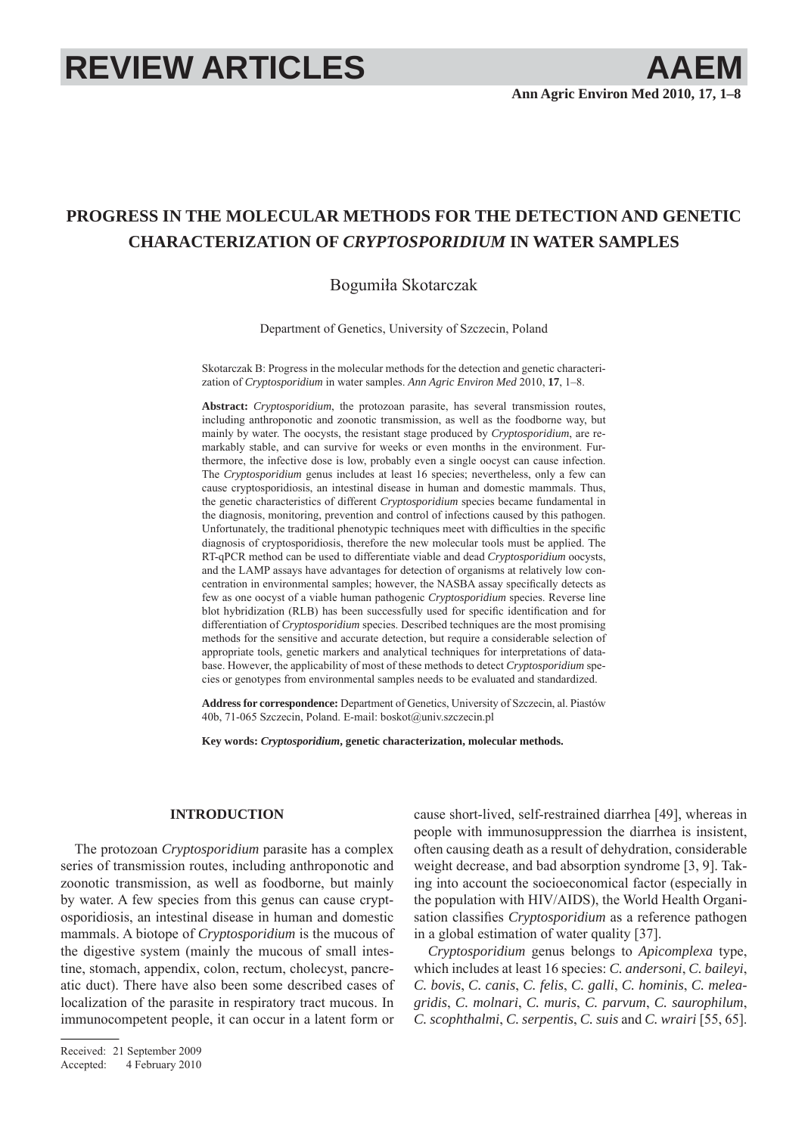# **REVIEW ARTICLES AAEM**

# **PROGRESS IN THE MOLECULAR METHODS FOR THE DETECTION AND GENETIC CHARACTERIZATION OF** *CRYPTOSPORIDIUM* **IN WATER SAMPLES**

Bogumiła Skotarczak

Department of Genetics, University of Szczecin, Poland

Skotarczak B: Progress in the molecular methods for the detection and genetic characterization of *Cryptosporidium* in water samples. *Ann Agric Environ Med* 2010, **17**, 1–8.

**Abstract:** *Cryptosporidium*, the protozoan parasite, has several transmission routes, including anthroponotic and zoonotic transmission, as well as the foodborne way, but mainly by water. The oocysts, the resistant stage produced by *Cryptosporidium*, are remarkably stable, and can survive for weeks or even months in the environment. Furthermore, the infective dose is low, probably even a single oocyst can cause infection. The *Cryptosporidium* genus includes at least 16 species; nevertheless, only a few can cause cryptosporidiosis, an intestinal disease in human and domestic mammals. Thus, the genetic characteristics of different *Cryptosporidium* species became fundamental in the diagnosis, monitoring, prevention and control of infections caused by this pathogen. Unfortunately, the traditional phenotypic techniques meet with difficulties in the specific diagnosis of cryptosporidiosis, therefore the new molecular tools must be applied. The RT-qPCR method can be used to differentiate viable and dead *Cryptosporidium* oocysts, and the LAMP assays have advantages for detection of organisms at relatively low concentration in environmental samples; however, the NASBA assay specifically detects as few as one oocyst of a viable human pathogenic *Cryptosporidium* species. Reverse line blot hybridization (RLB) has been successfully used for specific identification and for differentiation of *Cryptosporidium* species. Described techniques are the most promising methods for the sensitive and accurate detection, but require a considerable selection of appropriate tools, genetic markers and analytical techniques for interpretations of database. However, the applicability of most of these methods to detect *Cryptosporidium* species or genotypes from environmental samples needs to be evaluated and standardized.

**Address for correspondence:** Department of Genetics, University of Szczecin, al. Piastów 40b, 71-065 Szczecin, Poland. E-mail: boskot@univ.szczecin.pl

**Key words:** *Cryptosporidium***, genetic characterization, molecular methods.**

### **INTRODUCTION**

The protozoan *Cryptosporidium* parasite has a complex series of transmission routes, including anthroponotic and zoonotic transmission, as well as foodborne, but mainly by water. A few species from this genus can cause cryptosporidiosis, an intestinal disease in human and domestic mammals. A biotope of *Cryptosporidium* is the mucous of the digestive system (mainly the mucous of small intestine, stomach, appendix, colon, rectum, cholecyst, pancreatic duct). There have also been some described cases of localization of the parasite in respiratory tract mucous. In immunocompetent people, it can occur in a latent form or

Received: 21 September 2009 Accepted: 4 February 2010 cause short-lived, self-restrained diarrhea [49], whereas in people with immunosuppression the diarrhea is insistent, often causing death as a result of dehydration, considerable weight decrease, and bad absorption syndrome [3, 9]. Taking into account the socioeconomical factor (especially in the population with HIV/AIDS), the World Health Organisation classifies *Cryptosporidium* as a reference pathogen in a global estimation of water quality [37].

*Cryptosporidium* genus belongs to *Apicomplexa* type, which includes at least 16 species: *C. andersoni*, *C. baileyi*, *C. bovis*, *C. canis*, *C. felis*, *C. galli*, *C. hominis*, *C. meleagridis*, *C. molnari*, *C. muris*, *C. parvum*, *C. saurophilum*, *C. scophthalmi*, *C. serpentis*, *C. suis* and *C. wrairi* [55, 65].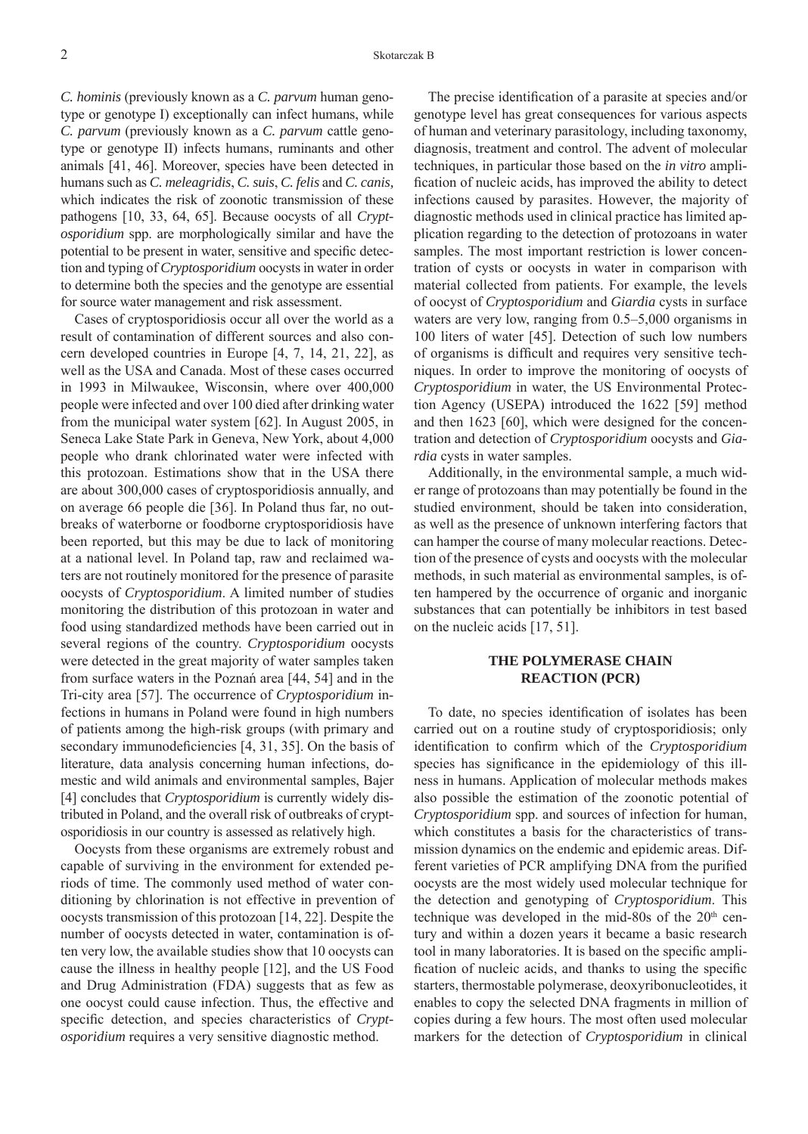*C. hominis* (previously known as a *C. parvum* human genotype or genotype I) exceptionally can infect humans, while *C. parvum* (previously known as a *C. parvum* cattle genotype or genotype II) infects humans, ruminants and other animals [41, 46]. Moreover, species have been detected in humans such as *C. meleagridis*, *C. suis*, *C. felis* and *C. canis,* which indicates the risk of zoonotic transmission of these pathogens [10, 33, 64, 65]. Because oocysts of all *Cryptosporidium* spp. are morphologically similar and have the potential to be present in water, sensitive and specific detection and typing of *Cryptosporidium* oocysts in water in order to determine both the species and the genotype are essential for source water management and risk assessment.

Cases of cryptosporidiosis occur all over the world as a result of contamination of different sources and also concern developed countries in Europe [4, 7, 14, 21, 22], as well as the USA and Canada. Most of these cases occurred in 1993 in Milwaukee, Wisconsin, where over 400,000 people were infected and over 100 died after drinking water from the municipal water system [62]. In August 2005, in Seneca Lake State Park in Geneva, New York, about 4,000 people who drank chlorinated water were infected with this protozoan. Estimations show that in the USA there are about 300,000 cases of cryptosporidiosis annually, and on average 66 people die [36]. In Poland thus far, no outbreaks of waterborne or foodborne cryptosporidiosis have been reported, but this may be due to lack of monitoring at a national level. In Poland tap, raw and reclaimed waters are not routinely monitored for the presence of parasite oocysts of *Cryptosporidium*. A limited number of studies monitoring the distribution of this protozoan in water and food using standardized methods have been carried out in several regions of the country. *Cryptosporidium* oocysts were detected in the great majority of water samples taken from surface waters in the Poznań area [44, 54] and in the Tri-city area [57]. The occurrence of *Cryptosporidium* infections in humans in Poland were found in high numbers of patients among the high-risk groups (with primary and secondary immunodeficiencies  $[4, 31, 35]$ . On the basis of literature, data analysis concerning human infections, domestic and wild animals and environmental samples, Bajer [4] concludes that *Cryptosporidium* is currently widely distributed in Poland, and the overall risk of outbreaks of cryptosporidiosis in our country is assessed as relatively high.

Oocysts from these organisms are extremely robust and capable of surviving in the environment for extended periods of time. The commonly used method of water conditioning by chlorination is not effective in prevention of oocysts transmission of this protozoan [14, 22]. Despite the number of oocysts detected in water, contamination is often very low, the available studies show that 10 oocysts can cause the illness in healthy people [12], and the US Food and Drug Administration (FDA) suggests that as few as one oocyst could cause infection. Thus, the effective and specific detection, and species characteristics of *Cryptosporidium* requires a very sensitive diagnostic method.

The precise identification of a parasite at species and/or genotype level has great consequences for various aspects of human and veterinary parasitology, including taxonomy, diagnosis, treatment and control. The advent of molecular techniques, in particular those based on the *in vitro* amplification of nucleic acids, has improved the ability to detect infections caused by parasites. However, the majority of diagnostic methods used in clinical practice has limited application regarding to the detection of protozoans in water samples. The most important restriction is lower concentration of cysts or oocysts in water in comparison with material collected from patients. For example, the levels of oocyst of *Cryptosporidium* and *Giardia* cysts in surface waters are very low, ranging from 0.5–5,000 organisms in 100 liters of water [45]. Detection of such low numbers of organisms is difficult and requires very sensitive techniques. In order to improve the monitoring of oocysts of *Cryptosporidium* in water, the US Environmental Protection Agency (USEPA) introduced the 1622 [59] method and then 1623 [60], which were designed for the concentration and detection of *Cryptosporidium* oocysts and *Giardia* cysts in water samples.

Additionally, in the environmental sample, a much wider range of protozoans than may potentially be found in the studied environment, should be taken into consideration, as well as the presence of unknown interfering factors that can hamper the course of many molecular reactions. Detection of the presence of cysts and oocysts with the molecular methods, in such material as environmental samples, is often hampered by the occurrence of organic and inorganic substances that can potentially be inhibitors in test based on the nucleic acids [17, 51].

# **THE POLYMERASE CHAIN REACTION (PCR)**

To date, no species identification of isolates has been carried out on a routine study of cryptosporidiosis; only identification to confirm which of the *Cryptosporidium* species has significance in the epidemiology of this illness in humans. Application of molecular methods makes also possible the estimation of the zoonotic potential of *Cryptosporidium* spp. and sources of infection for human, which constitutes a basis for the characteristics of transmission dynamics on the endemic and epidemic areas. Different varieties of PCR amplifying DNA from the purified oocysts are the most widely used molecular technique for the detection and genotyping of *Cryptosporidium*. This technique was developed in the mid-80s of the  $20<sup>th</sup>$  century and within a dozen years it became a basic research tool in many laboratories. It is based on the specific amplification of nucleic acids, and thanks to using the specific starters, thermostable polymerase, deoxyribonucleotides, it enables to copy the selected DNA fragments in million of copies during a few hours. The most often used molecular markers for the detection of *Cryptosporidium* in clinical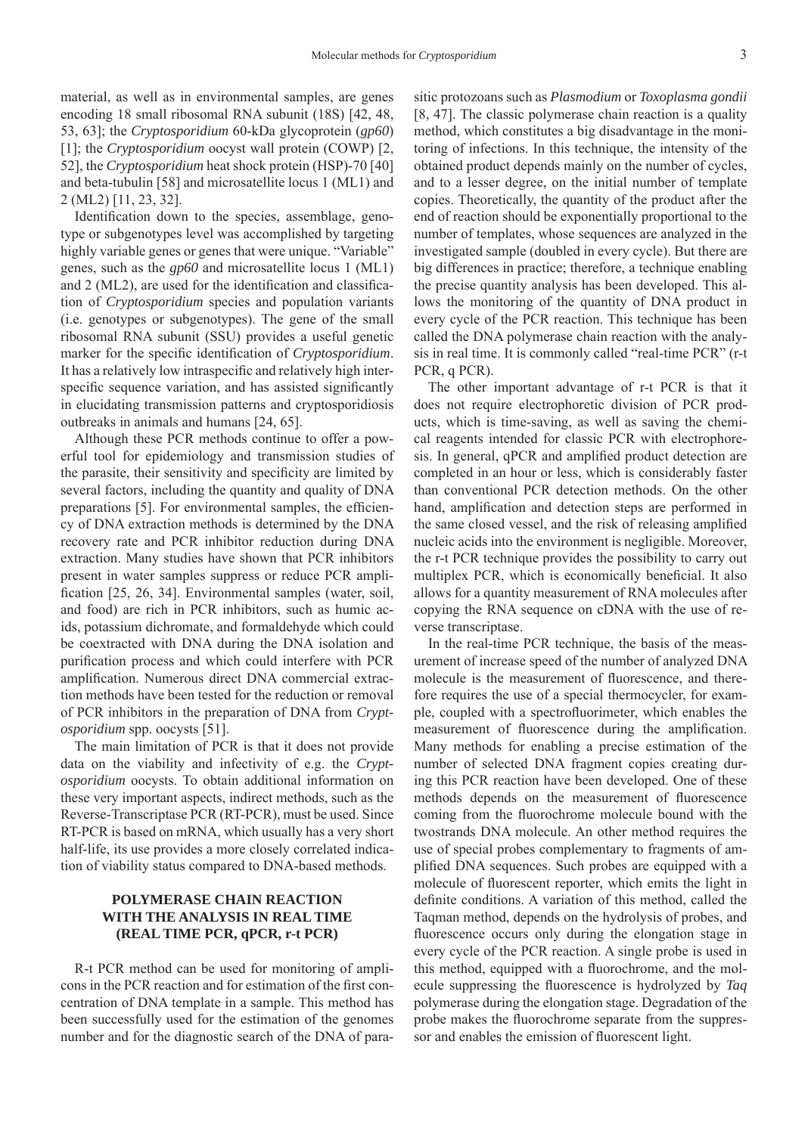material, as well as in environmental samples, are genes encoding 18 small ribosomal RNA subunit (18S) [42, 48, 53, 63]; the *Cryptosporidium* 60-kDa glycoprotein (*gp60*) [1]; the *Cryptosporidium* oocyst wall protein (COWP) [2, 52], the *Cryptosporidium* heat shock protein (HSP)-70 [40] and beta-tubulin [58] and microsatellite locus 1 (ML1) and 2 (ML2) [11, 23, 32].

Identification down to the species, assemblage, genotype or subgenotypes level was accomplished by targeting highly variable genes or genes that were unique. "Variable" genes, such as the *gp60* and microsatellite locus 1 (ML1) and  $2 \text{ (ML2)}$ , are used for the identification and classification of *Cryptosporidium* species and population variants (i.e. genotypes or subgenotypes). The gene of the small ribosomal RNA subunit (SSU) provides a useful genetic marker for the specific identification of *Cryptosporidium*. It has a relatively low intraspecific and relatively high interspecific sequence variation, and has assisted significantly in elucidating transmission patterns and cryptosporidiosis outbreaks in animals and humans [24, 65].

Although these PCR methods continue to offer a powerful tool for epidemiology and transmission studies of the parasite, their sensitivity and specificity are limited by several factors, including the quantity and quality of DNA preparations [5]. For environmental samples, the efficiency of DNA extraction methods is determined by the DNA recovery rate and PCR inhibitor reduction during DNA extraction. Many studies have shown that PCR inhibitors present in water samples suppress or reduce PCR amplification [25, 26, 34]. Environmental samples (water, soil, and food) are rich in PCR inhibitors, such as humic acids, potassium dichromate, and formaldehyde which could be coextracted with DNA during the DNA isolation and purification process and which could interfere with PCR amplification. Numerous direct DNA commercial extraction methods have been tested for the reduction or removal of PCR inhibitors in the preparation of DNA from *Cryptosporidium* spp. oocysts [51].

The main limitation of PCR is that it does not provide data on the viability and infectivity of e.g. the *Cryptosporidium* oocysts. To obtain additional information on these very important aspects, indirect methods, such as the Reverse-Transcriptase PCR (RT-PCR), must be used. Since RT-PCR is based on mRNA, which usually has a very short half-life, its use provides a more closely correlated indication of viability status compared to DNA-based methods.

# **POLYMERASE CHAIN REACTION WITH THE ANALYSIS IN REAL TIME (REAL TIME PCR, qPCR, r-t PCR)**

R-t PCR method can be used for monitoring of amplicons in the PCR reaction and for estimation of the first concentration of DNA template in a sample. This method has been successfully used for the estimation of the genomes number and for the diagnostic search of the DNA of parasitic protozoans such as *Plasmodium* or *Toxoplasma gondii* [8, 47]. The classic polymerase chain reaction is a quality method, which constitutes a big disadvantage in the monitoring of infections. In this technique, the intensity of the obtained product depends mainly on the number of cycles, and to a lesser degree, on the initial number of template copies. Theoretically, the quantity of the product after the end of reaction should be exponentially proportional to the number of templates, whose sequences are analyzed in the investigated sample (doubled in every cycle). But there are big differences in practice; therefore, a technique enabling the precise quantity analysis has been developed. This allows the monitoring of the quantity of DNA product in every cycle of the PCR reaction. This technique has been called the DNA polymerase chain reaction with the analysis in real time. It is commonly called "real-time PCR" (r-t PCR, q PCR).

The other important advantage of r-t PCR is that it does not require electrophoretic division of PCR products, which is time-saving, as well as saving the chemical reagents intended for classic PCR with electrophoresis. In general, qPCR and amplified product detection are completed in an hour or less, which is considerably faster than conventional PCR detection methods. On the other hand, amplification and detection steps are performed in the same closed vessel, and the risk of releasing amplified nucleic acids into the environment is negligible. Moreover, the r-t PCR technique provides the possibility to carry out multiplex PCR, which is economically beneficial. It also allows for a quantity measurement of RNA molecules after copying the RNA sequence on cDNA with the use of reverse transcriptase.

In the real-time PCR technique, the basis of the measurement of increase speed of the number of analyzed DNA molecule is the measurement of fluorescence, and therefore requires the use of a special thermocycler, for example, coupled with a spectrofluorimeter, which enables the measurement of fluorescence during the amplification. Many methods for enabling a precise estimation of the number of selected DNA fragment copies creating during this PCR reaction have been developed. One of these methods depends on the measurement of fluorescence coming from the fluorochrome molecule bound with the twostrands DNA molecule. An other method requires the use of special probes complementary to fragments of amplified DNA sequences. Such probes are equipped with a molecule of fluorescent reporter, which emits the light in definite conditions. A variation of this method, called the Taqman method, depends on the hydrolysis of probes, and fluorescence occurs only during the elongation stage in every cycle of the PCR reaction. A single probe is used in this method, equipped with a fluorochrome, and the molecule suppressing the fluorescence is hydrolyzed by *Taq* polymerase during the elongation stage. Degradation of the probe makes the fluorochrome separate from the suppressor and enables the emission of fluorescent light.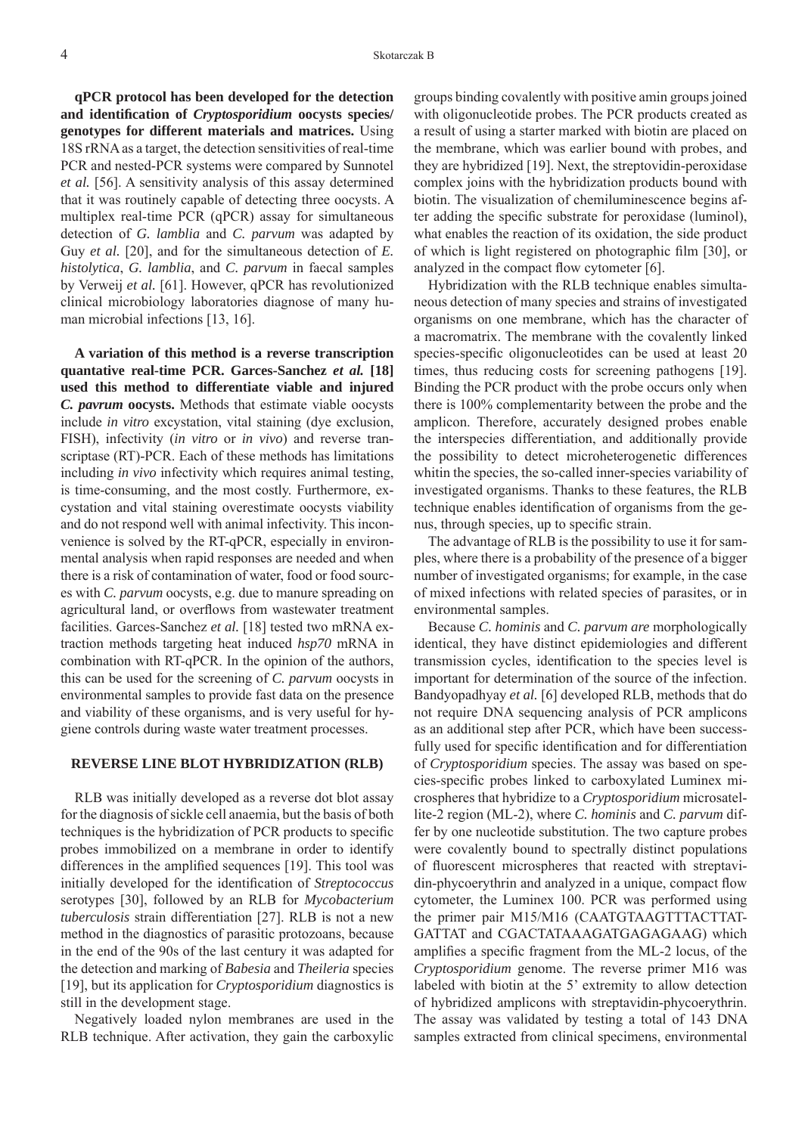**qPCR protocol has been developed for the detection and identifi cation of** *Cryptosporidium* **oocysts species/ genotypes for different materials and matrices.** Using 18S rRNA as a target, the detection sensitivities of real-time PCR and nested-PCR systems were compared by Sunnotel *et al.* [56]. A sensitivity analysis of this assay determined that it was routinely capable of detecting three oocysts. A multiplex real-time PCR (qPCR) assay for simultaneous detection of *G. lamblia* and *C. parvum* was adapted by Guy *et al.* [20], and for the simultaneous detection of *E. histolytica*, *G. lamblia*, and *C. parvum* in faecal samples by Verweij *et al.* [61]. However, qPCR has revolutionized clinical microbiology laboratories diagnose of many human microbial infections [13, 16].

**A variation of this method is a reverse transcription quantative real-time PCR. Garces-Sanchez** *et al.* **[18] used this method to differentiate viable and injured**  *C. pavrum* **oocysts.** Methods that estimate viable oocysts include *in vitro* excystation, vital staining (dye exclusion, FISH), infectivity (*in vitro* or *in vivo*) and reverse transcriptase (RT)-PCR. Each of these methods has limitations including *in vivo* infectivity which requires animal testing, is time-consuming, and the most costly. Furthermore, excystation and vital staining overestimate oocysts viability and do not respond well with animal infectivity. This inconvenience is solved by the RT-qPCR, especially in environmental analysis when rapid responses are needed and when there is a risk of contamination of water, food or food sources with *C. parvum* oocysts, e.g. due to manure spreading on agricultural land, or overflows from wastewater treatment facilities. Garces-Sanchez *et al.* [18] tested two mRNA extraction methods targeting heat induced *hsp70* mRNA in combination with RT-qPCR. In the opinion of the authors, this can be used for the screening of *C. parvum* oocysts in environmental samples to provide fast data on the presence and viability of these organisms, and is very useful for hygiene controls during waste water treatment processes.

#### **REVERSE LINE BLOT HYBRIDIZATION (RLB)**

RLB was initially developed as a reverse dot blot assay for the diagnosis of sickle cell anaemia, but the basis of both techniques is the hybridization of PCR products to specific probes immobilized on a membrane in order to identify differences in the amplified sequences [19]. This tool was initially developed for the identification of *Streptococcus* serotypes [30], followed by an RLB for *Mycobacterium tuberculosis* strain differentiation [27]. RLB is not a new method in the diagnostics of parasitic protozoans, because in the end of the 90s of the last century it was adapted for the detection and marking of *Babesia* and *Theileria* species [19], but its application for *Cryptosporidium* diagnostics is still in the development stage.

Negatively loaded nylon membranes are used in the RLB technique. After activation, they gain the carboxylic

groups binding covalently with positive amin groups joined with oligonucleotide probes. The PCR products created as a result of using a starter marked with biotin are placed on the membrane, which was earlier bound with probes, and they are hybridized [19]. Next, the streptovidin-peroxidase complex joins with the hybridization products bound with biotin. The visualization of chemiluminescence begins after adding the specific substrate for peroxidase (luminol), what enables the reaction of its oxidation, the side product of which is light registered on photographic film [30], or analyzed in the compact flow cytometer  $[6]$ .

Hybridization with the RLB technique enables simultaneous detection of many species and strains of investigated organisms on one membrane, which has the character of a macromatrix. The membrane with the covalently linked species-specific oligonucleotides can be used at least 20 times, thus reducing costs for screening pathogens [19]. Binding the PCR product with the probe occurs only when there is 100% complementarity between the probe and the amplicon. Therefore, accurately designed probes enable the interspecies differentiation, and additionally provide the possibility to detect microheterogenetic differences whitin the species, the so-called inner-species variability of investigated organisms. Thanks to these features, the RLB technique enables identification of organisms from the genus, through species, up to specific strain.

The advantage of RLB is the possibility to use it for samples, where there is a probability of the presence of a bigger number of investigated organisms; for example, in the case of mixed infections with related species of parasites, or in environmental samples.

Because *C. hominis* and *C. parvum are* morphologically identical, they have distinct epidemiologies and different transmission cycles, identification to the species level is important for determination of the source of the infection. Bandyopadhyay *et al.* [6] developed RLB, methods that do not require DNA sequencing analysis of PCR amplicons as an additional step after PCR, which have been successfully used for specific identification and for differentiation of *Cryptosporidium* species. The assay was based on species-specific probes linked to carboxylated Luminex microspheres that hybridize to a *Cryptosporidium* microsatellite-2 region (ML-2), where *C. hominis* and *C. parvum* differ by one nucleotide substitution. The two capture probes were covalently bound to spectrally distinct populations of fluorescent microspheres that reacted with streptavidin-phycoerythrin and analyzed in a unique, compact flow cytometer, the Luminex 100. PCR was performed using the primer pair M15/M16 (CAATGTAAGTTTACTTAT-GATTAT and CGACTATAAAGATGAGAGAAG) which amplifies a specific fragment from the ML-2 locus, of the *Cryptosporidium* genome. The reverse primer M16 was labeled with biotin at the 5' extremity to allow detection of hybridized amplicons with streptavidin-phycoerythrin. The assay was validated by testing a total of 143 DNA samples extracted from clinical specimens, environmental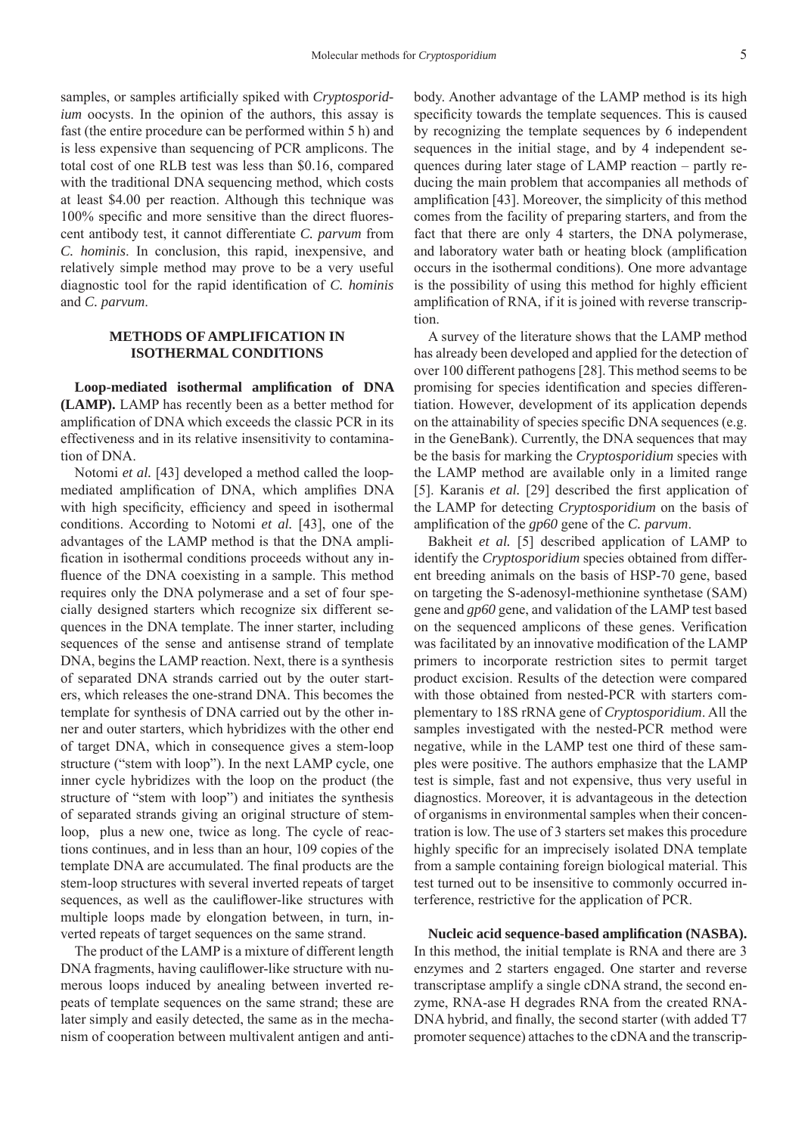samples, or samples artificially spiked with *Cryptosporidium* oocysts. In the opinion of the authors, this assay is fast (the entire procedure can be performed within 5 h) and is less expensive than sequencing of PCR amplicons. The total cost of one RLB test was less than \$0.16, compared with the traditional DNA sequencing method, which costs at least \$4.00 per reaction. Although this technique was 100% specific and more sensitive than the direct fluorescent antibody test, it cannot differentiate *C. parvum* from *C. hominis*. In conclusion, this rapid, inexpensive, and relatively simple method may prove to be a very useful diagnostic tool for the rapid identification of *C. hominis* and *C. parvum*.

# **METHODS OF AMPLIFICATION IN ISOTHERMAL CONDITIONS**

Loop-mediated isothermal amplification of DNA **(LAMP).** LAMP has recently been as a better method for amplification of DNA which exceeds the classic PCR in its effectiveness and in its relative insensitivity to contamination of DNA.

Notomi *et al.* [43] developed a method called the loopmediated amplification of DNA, which amplifies DNA with high specificity, efficiency and speed in isothermal conditions. According to Notomi *et al.* [43], one of the advantages of the LAMP method is that the DNA amplification in isothermal conditions proceeds without any influence of the DNA coexisting in a sample. This method requires only the DNA polymerase and a set of four specially designed starters which recognize six different sequences in the DNA template. The inner starter, including sequences of the sense and antisense strand of template DNA, begins the LAMP reaction. Next, there is a synthesis of separated DNA strands carried out by the outer starters, which releases the one-strand DNA. This becomes the template for synthesis of DNA carried out by the other inner and outer starters, which hybridizes with the other end of target DNA, which in consequence gives a stem-loop structure ("stem with loop"). In the next LAMP cycle, one inner cycle hybridizes with the loop on the product (the structure of "stem with loop") and initiates the synthesis of separated strands giving an original structure of stemloop, plus a new one, twice as long. The cycle of reactions continues, and in less than an hour, 109 copies of the template DNA are accumulated. The final products are the stem-loop structures with several inverted repeats of target sequences, as well as the cauliflower-like structures with multiple loops made by elongation between, in turn, inverted repeats of target sequences on the same strand.

The product of the LAMP is a mixture of different length DNA fragments, having cauliflower-like structure with numerous loops induced by anealing between inverted repeats of template sequences on the same strand; these are later simply and easily detected, the same as in the mechanism of cooperation between multivalent antigen and antibody. Another advantage of the LAMP method is its high specificity towards the template sequences. This is caused by recognizing the template sequences by 6 independent sequences in the initial stage, and by 4 independent sequences during later stage of LAMP reaction – partly reducing the main problem that accompanies all methods of amplification [43]. Moreover, the simplicity of this method comes from the facility of preparing starters, and from the fact that there are only 4 starters, the DNA polymerase, and laboratory water bath or heating block (amplification occurs in the isothermal conditions). One more advantage is the possibility of using this method for highly efficient amplification of RNA, if it is joined with reverse transcription.

A survey of the literature shows that the LAMP method has already been developed and applied for the detection of over 100 different pathogens [28]. This method seems to be promising for species identification and species differentiation. However, development of its application depends on the attainability of species specific DNA sequences (e.g. in the GeneBank). Currently, the DNA sequences that may be the basis for marking the *Cryptosporidium* species with the LAMP method are available only in a limited range [5]. Karanis *et al.* [29] described the first application of the LAMP for detecting *Cryptosporidium* on the basis of amplification of the *gp60* gene of the *C. parvum*.

Bakheit *et al.* [5] described application of LAMP to identify the *Cryptosporidium* species obtained from different breeding animals on the basis of HSP-70 gene, based on targeting the S-adenosyl-methionine synthetase (SAM) gene and *gp60* gene, and validation of the LAMP test based on the sequenced amplicons of these genes. Verification was facilitated by an innovative modification of the LAMP primers to incorporate restriction sites to permit target product excision. Results of the detection were compared with those obtained from nested-PCR with starters complementary to 18S rRNA gene of *Cryptosporidium*. All the samples investigated with the nested-PCR method were negative, while in the LAMP test one third of these samples were positive. The authors emphasize that the LAMP test is simple, fast and not expensive, thus very useful in diagnostics. Moreover, it is advantageous in the detection of organisms in environmental samples when their concentration is low. The use of 3 starters set makes this procedure highly specific for an imprecisely isolated DNA template from a sample containing foreign biological material. This test turned out to be insensitive to commonly occurred interference, restrictive for the application of PCR.

**Nucleic acid sequence-based amplifi cation (NASBA).**  In this method, the initial template is RNA and there are 3 enzymes and 2 starters engaged. One starter and reverse transcriptase amplify a single cDNA strand, the second enzyme, RNA-ase H degrades RNA from the created RNA-DNA hybrid, and finally, the second starter (with added T7 promoter sequence) attaches to the cDNA and the transcrip-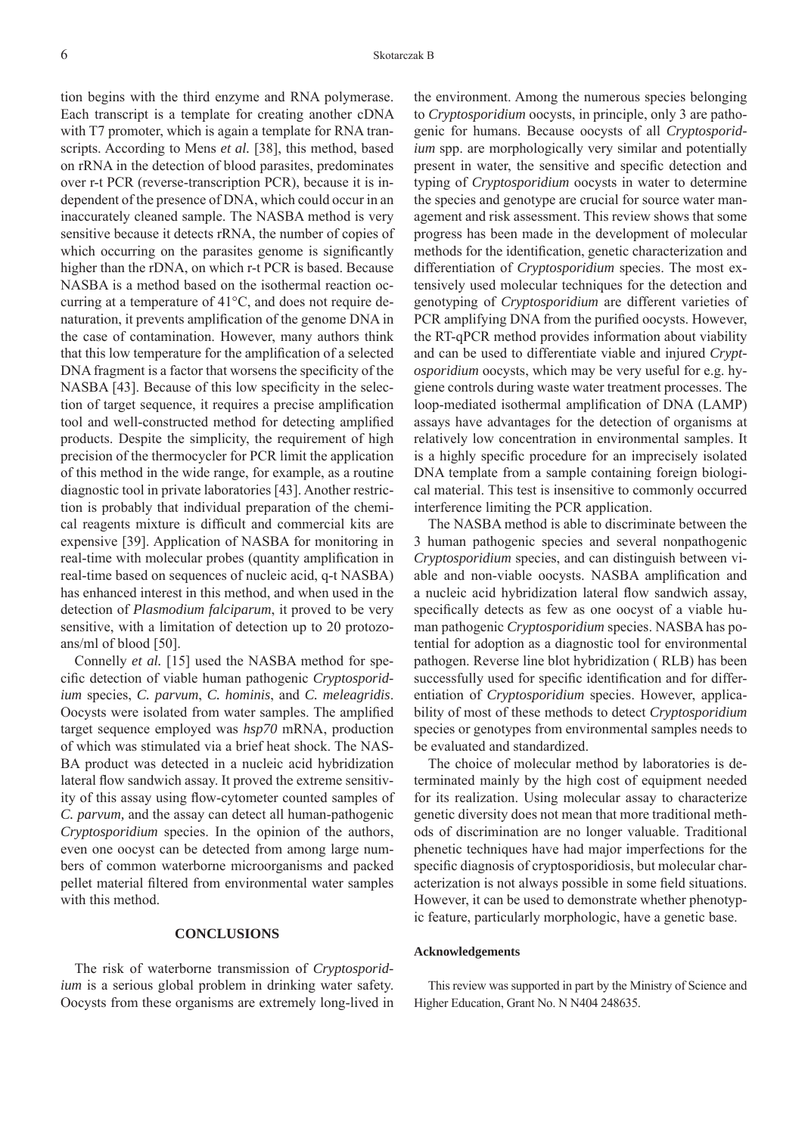tion begins with the third enzyme and RNA polymerase. Each transcript is a template for creating another cDNA with T7 promoter, which is again a template for RNA transcripts. According to Mens *et al.* [38], this method, based on rRNA in the detection of blood parasites, predominates over r-t PCR (reverse-transcription PCR), because it is independent of the presence of DNA, which could occur in an inaccurately cleaned sample. The NASBA method is very sensitive because it detects rRNA, the number of copies of which occurring on the parasites genome is significantly higher than the rDNA, on which r-t PCR is based. Because NASBA is a method based on the isothermal reaction occurring at a temperature of 41°C, and does not require denaturation, it prevents amplification of the genome DNA in the case of contamination. However, many authors think that this low temperature for the amplification of a selected DNA fragment is a factor that worsens the specificity of the NASBA [43]. Because of this low specificity in the selection of target sequence, it requires a precise amplification tool and well-constructed method for detecting amplified products. Despite the simplicity, the requirement of high precision of the thermocycler for PCR limit the application of this method in the wide range, for example, as a routine diagnostic tool in private laboratories [43]. Another restriction is probably that individual preparation of the chemical reagents mixture is difficult and commercial kits are expensive [39]. Application of NASBA for monitoring in real-time with molecular probes (quantity amplification in real-time based on sequences of nucleic acid, q-t NASBA) has enhanced interest in this method, and when used in the detection of *Plasmodium falciparum*, it proved to be very sensitive, with a limitation of detection up to 20 protozoans/ml of blood [50].

Connelly *et al.* [15] used the NASBA method for specific detection of viable human pathogenic *Cryptosporidium* species, *C. parvum*, *C. hominis*, and *C. meleagridis*. Oocysts were isolated from water samples. The amplified target sequence employed was *hsp70* mRNA, production of which was stimulated via a brief heat shock. The NAS-BA product was detected in a nucleic acid hybridization lateral flow sandwich assay. It proved the extreme sensitivity of this assay using flow-cytometer counted samples of *C. parvum,* and the assay can detect all human-pathogenic *Cryptosporidium* species. In the opinion of the authors, even one oocyst can be detected from among large numbers of common waterborne microorganisms and packed pellet material filtered from environmental water samples with this method.

#### **CONCLUSIONS**

The risk of waterborne transmission of *Cryptosporidium* is a serious global problem in drinking water safety. Oocysts from these organisms are extremely long-lived in the environment. Among the numerous species belonging to *Cryptosporidium* oocysts, in principle, only 3 are pathogenic for humans. Because oocysts of all *Cryptosporidium* spp. are morphologically very similar and potentially present in water, the sensitive and specific detection and typing of *Cryptosporidium* oocysts in water to determine the species and genotype are crucial for source water management and risk assessment. This review shows that some progress has been made in the development of molecular methods for the identification, genetic characterization and differentiation of *Cryptosporidium* species. The most extensively used molecular techniques for the detection and genotyping of *Cryptosporidium* are different varieties of PCR amplifying DNA from the purified oocysts. However, the RT-qPCR method provides information about viability and can be used to differentiate viable and injured *Cryptosporidium* oocysts, which may be very useful for e.g. hygiene controls during waste water treatment processes. The loop-mediated isothermal amplification of DNA (LAMP) assays have advantages for the detection of organisms at relatively low concentration in environmental samples. It is a highly specific procedure for an imprecisely isolated DNA template from a sample containing foreign biological material. This test is insensitive to commonly occurred interference limiting the PCR application.

The NASBA method is able to discriminate between the 3 human pathogenic species and several nonpathogenic *Cryptosporidium* species, and can distinguish between viable and non-viable oocysts. NASBA amplification and a nucleic acid hybridization lateral flow sandwich assay, specifically detects as few as one oocyst of a viable human pathogenic *Cryptosporidium* species. NASBA has potential for adoption as a diagnostic tool for environmental pathogen. Reverse line blot hybridization ( RLB) has been successfully used for specific identification and for differentiation of *Cryptosporidium* species. However, applicability of most of these methods to detect *Cryptosporidium* species or genotypes from environmental samples needs to be evaluated and standardized.

The choice of molecular method by laboratories is determinated mainly by the high cost of equipment needed for its realization. Using molecular assay to characterize genetic diversity does not mean that more traditional methods of discrimination are no longer valuable. Traditional phenetic techniques have had major imperfections for the specific diagnosis of cryptosporidiosis, but molecular characterization is not always possible in some field situations. However, it can be used to demonstrate whether phenotypic feature, particularly morphologic, have a genetic base.

#### **Acknowledgements**

This review was supported in part by the Ministry of Science and Higher Education, Grant No. N N404 248635.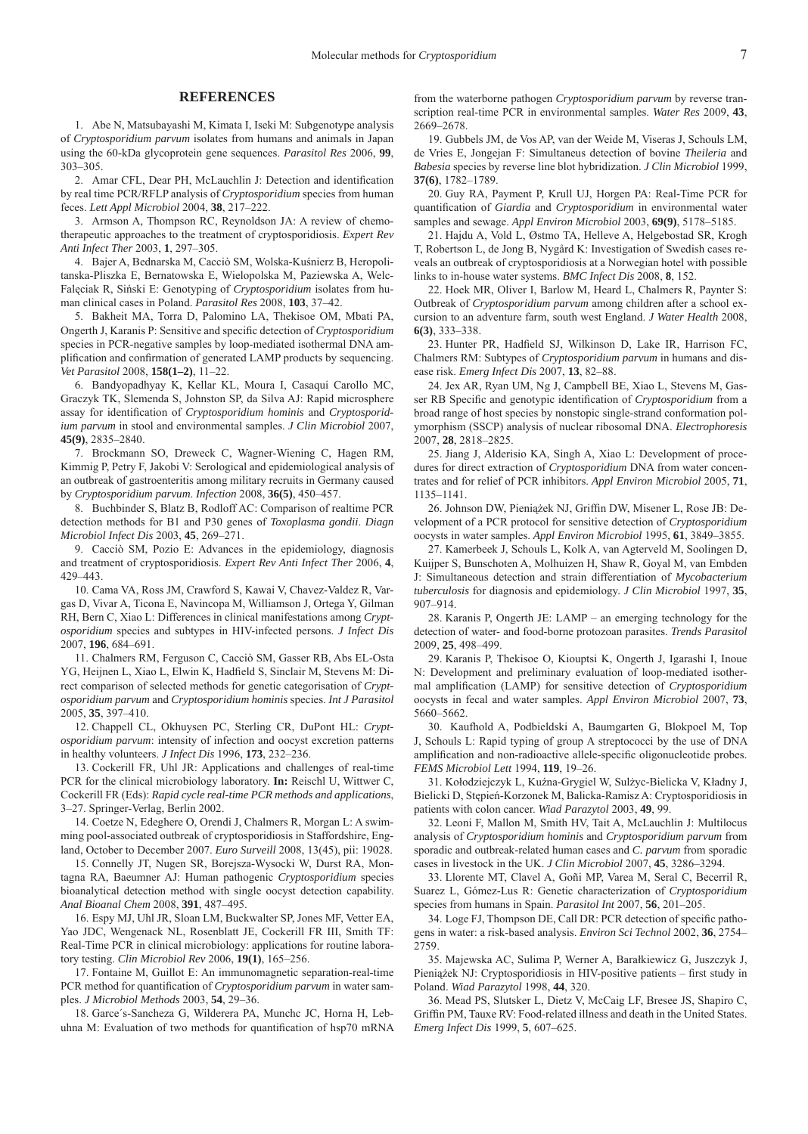#### **REFERENCES**

1. Abe N, Matsubayashi M, Kimata I, Iseki M: Subgenotype analysis of *Cryptosporidium parvum* isolates from humans and animals in Japan using the 60-kDa glycoprotein gene sequences. *Parasitol Res* 2006, **99**, 303–305.

2. Amar CFL, Dear PH, McLauchlin J: Detection and identification by real time PCR/RFLP analysis of *Cryptosporidium* species from human feces. *Lett Appl Microbiol* 2004, **38**, 217–222.

3. Armson A, Thompson RC, Reynoldson JA: A review of chemotherapeutic approaches to the treatment of cryptosporidiosis. *Expert Rev Anti Infect Ther* 2003, **1**, 297–305.

4. Bajer A, Bednarska M, Cacciò SM, Wolska-Kuśnierz B, Heropolitanska-Pliszka E, Bernatowska E, Wielopolska M, Paziewska A, Welc-Falęciak R, Siński E: Genotyping of *Cryptosporidium* isolates from human clinical cases in Poland. *Parasitol Res* 2008, **103**, 37–42.

5. Bakheit MA, Torra D, Palomino LA, Thekisoe OM, Mbati PA, Ongerth J, Karanis P: Sensitive and specific detection of *Cryptosporidium* species in PCR-negative samples by loop-mediated isothermal DNA amplification and confirmation of generated LAMP products by sequencing. *Vet Parasitol* 2008, **158(1–2)**, 11–22.

6. Bandyopadhyay K, Kellar KL, Moura I, Casaqui Carollo MC, Graczyk TK, Slemenda S, Johnston SP, da Silva AJ: Rapid microsphere assay for identification of *Cryptosporidium hominis* and *Cryptosporidium parvum* in stool and environmental samples. *J Clin Microbiol* 2007, **45(9)**, 2835–2840.

7. Brockmann SO, Dreweck C, Wagner-Wiening C, Hagen RM, Kimmig P, Petry F, Jakobi V: Serological and epidemiological analysis of an outbreak of gastroenteritis among military recruits in Germany caused by *Cryptosporidium parvum*. *Infection* 2008, **36(5)**, 450–457.

8. Buchbinder S, Blatz B, Rodloff AC: Comparison of realtime PCR detection methods for B1 and P30 genes of *Toxoplasma gondii*. *Diagn Microbiol Infect Dis* 2003, **45**, 269–271.

9. Cacciò SM, Pozio E: Advances in the epidemiology, diagnosis and treatment of cryptosporidiosis. *Expert Rev Anti Infect Ther* 2006, **4**, 429–443.

10. Cama VA, Ross JM, Crawford S, Kawai V, Chavez-Valdez R, Vargas D, Vivar A, Ticona E, Navincopa M, Williamson J, Ortega Y, Gilman RH, Bern C, Xiao L: Differences in clinical manifestations among *Cryptosporidium* species and subtypes in HIV-infected persons. *J Infect Dis* 2007, **196**, 684–691.

11. Chalmers RM, Ferguson C, Cacciò SM, Gasser RB, Abs EL-Osta YG, Heijnen L, Xiao L, Elwin K, Hadfield S, Sinclair M, Stevens M: Direct comparison of selected methods for genetic categorisation of *Cryptosporidium parvum* and *Cryptosporidium hominis* species. *Int J Parasitol*  2005, **35**, 397–410.

12. Chappell CL, Okhuysen PC, Sterling CR, DuPont HL: *Cryptosporidium parvum*: intensity of infection and oocyst excretion patterns in healthy volunteers. *J Infect Dis* 1996, **173**, 232–236.

13. Cockerill FR, Uhl JR: Applications and challenges of real-time PCR for the clinical microbiology laboratory. **In:** Reischl U, Wittwer C, Cockerill FR (Eds): *Rapid cycle real-time PCR methods and applications*, 3–27. Springer-Verlag, Berlin 2002.

14. Coetze N, Edeghere O, Orendi J, Chalmers R, Morgan L: A swimming pool-associated outbreak of cryptosporidiosis in Staffordshire, England, October to December 2007. *Euro Surveill* 2008, 13(45), pii: 19028.

15. Connelly JT, Nugen SR, Borejsza-Wysocki W, Durst RA, Montagna RA, Baeumner AJ: Human pathogenic *Cryptosporidium* species bioanalytical detection method with single oocyst detection capability. *Anal Bioanal Chem* 2008, **391**, 487–495.

16. Espy MJ, Uhl JR, Sloan LM, Buckwalter SP, Jones MF, Vetter EA, Yao JDC, Wengenack NL, Rosenblatt JE, Cockerill FR III, Smith TF: Real-Time PCR in clinical microbiology: applications for routine laboratory testing. *Clin Microbiol Rev* 2006, **19(1)**, 165–256.

17. Fontaine M, Guillot E: An immunomagnetic separation-real-time PCR method for quantification of *Cryptosporidium parvum* in water samples. *J Microbiol Methods* 2003, **54**, 29–36.

18. Garce´s-Sancheza G, Wilderera PA, Munchc JC, Horna H, Lebuhna M: Evaluation of two methods for quantification of hsp70 mRNA from the waterborne pathogen *Cryptosporidium parvum* by reverse transcription real-time PCR in environmental samples. *Water Res* 2009, **43**, 2669–2678.

19. Gubbels JM, de Vos AP, van der Weide M, Viseras J, Schouls LM, de Vries E, Jongejan F: Simultaneus detection of bovine *Theileria* and *Babesia* species by reverse line blot hybridization. *J Clin Microbiol* 1999, **37(6)**, 1782–1789.

20. Guy RA, Payment P, Krull UJ, Horgen PA: Real-Time PCR for quantification of *Giardia* and *Cryptosporidium* in environmental water samples and sewage. *Appl Environ Microbiol* 2003, **69(9)**, 5178–5185.

21. Hajdu A, Vold L, Østmo TA, Helleve A, Helgebostad SR, Krogh T, Robertson L, de Jong B, Nygård K: Investigation of Swedish cases reveals an outbreak of cryptosporidiosis at a Norwegian hotel with possible links to in-house water systems. *BMC Infect Dis* 2008, **8**, 152.

22. Hoek MR, Oliver I, Barlow M, Heard L, Chalmers R, Paynter S: Outbreak of *Cryptosporidium parvum* among children after a school excursion to an adventure farm, south west England. *J Water Health* 2008, **6(3)**, 333–338.

23. Hunter PR, Hadfield SJ, Wilkinson D, Lake IR, Harrison FC, Chalmers RM: Subtypes of *Cryptosporidium parvum* in humans and disease risk. *Emerg Infect Dis* 2007, **13**, 82–88.

24. Jex AR, Ryan UM, Ng J, Campbell BE, Xiao L, Stevens M, Gasser RB Specific and genotypic identification of *Cryptosporidium* from a broad range of host species by nonstopic single-strand conformation polymorphism (SSCP) analysis of nuclear ribosomal DNA. *Electrophoresis* 2007, **28**, 2818–2825.

25. Jiang J, Alderisio KA, Singh A, Xiao L: Development of procedures for direct extraction of *Cryptosporidium* DNA from water concentrates and for relief of PCR inhibitors. *Appl Environ Microbiol* 2005, **71**, 1135–1141.

26. Johnson DW, Pieniążek NJ, Griffin DW, Misener L, Rose JB: Development of a PCR protocol for sensitive detection of *Cryptosporidium* oocysts in water samples. *Appl Environ Microbiol* 1995, **61**, 3849–3855.

27. Kamerbeek J, Schouls L, Kolk A, van Agterveld M, Soolingen D, Kuijper S, Bunschoten A, Molhuizen H, Shaw R, Goyal M, van Embden J: Simultaneous detection and strain differentiation of *Mycobacterium tuberculosis* for diagnosis and epidemiology. *J Clin Microbiol* 1997, **35**, 907–914.

28. Karanis P, Ongerth JE: LAMP – an emerging technology for the detection of water- and food-borne protozoan parasites. *Trends Parasitol* 2009, **25**, 498–499.

29. Karanis P, Thekisoe O, Kiouptsi K, Ongerth J, Igarashi I, Inoue N: Development and preliminary evaluation of loop-mediated isothermal amplification (LAMP) for sensitive detection of *Cryptosporidium* oocysts in fecal and water samples. *Appl Environ Microbiol* 2007, **73**, 5660–5662.

30. Kaufhold A, Podbieldski A, Baumgarten G, Blokpoel M, Top J, Schouls L: Rapid typing of group A streptococci by the use of DNA amplification and non-radioactive allele-specific oligonucleotide probes. *FEMS Microbiol Lett* 1994, **119**, 19–26.

31. Kołodziejczyk L, Kuźna-Grygiel W, Sulżyc-Bielicka V, Kładny J, Bielicki D, Stępień-Korzonek M, Balicka-Ramisz A: Cryptosporidiosis in patients with colon cancer. *Wiad Parazytol* 2003, **49**, 99.

32. Leoni F, Mallon M, Smith HV, Tait A, McLauchlin J: Multilocus analysis of *Cryptosporidium hominis* and *Cryptosporidium parvum* from sporadic and outbreak-related human cases and *C. parvum* from sporadic cases in livestock in the UK. *J Clin Microbiol* 2007, **45**, 3286–3294.

33. Llorente MT, Clavel A, Goñi MP, Varea M, Seral C, Becerril R, Suarez L, Gómez-Lus R: Genetic characterization of *Cryptosporidium* species from humans in Spain. *Parasitol Int* 2007, **56**, 201–205.

34. Loge FJ, Thompson DE, Call DR: PCR detection of specific pathogens in water: a risk-based analysis. *Environ Sci Technol* 2002, **36**, 2754– 2759.

35. Majewska AC, Sulima P, Werner A, Barałkiewicz G, Juszczyk J, Pieniążek NJ: Cryptosporidiosis in HIV-positive patients – first study in Poland. *Wiad Parazytol* 1998, **44**, 320.

36. Mead PS, Slutsker L, Dietz V, McCaig LF, Bresee JS, Shapiro C, Griffin PM, Tauxe RV: Food-related illness and death in the United States. *Emerg Infect Dis* 1999, **5**, 607–625.